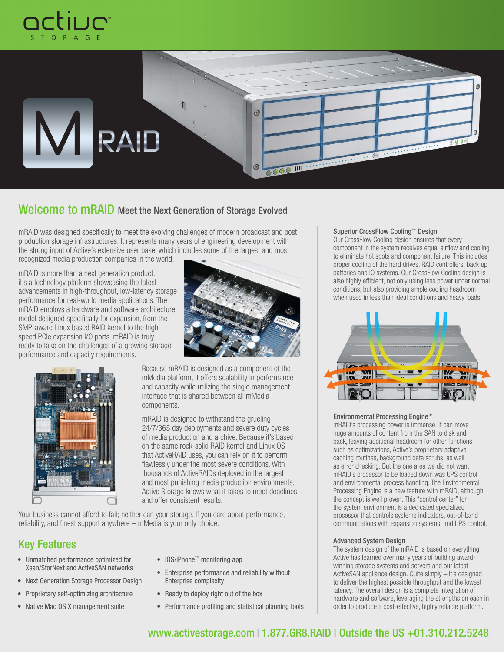



# Welcome to mRAID Meet the Next Generation of Storage Evolved

mRAID was designed specifically to meet the evolving challenges of modern broadcast and post production storage infrastructures. It represents many years of engineering development with the strong input of Active's extensive user base, which includes some of the largest and most recognized media production companies in the world.

mRAID is more than a next generation product, it's a technology platform showcasing the latest advancements in high-throughput, low-latency storage performance for real-world media applications. The mRAID employs a hardware and software architecture model designed specifically for expansion, from the SMP-aware Linux based RAID kernel to the high speed PCIe expansion I/O ports. mRAID is truly ready to take on the challenges of a growing storage performance and capacity requirements.





Because mRAID is designed as a component of the mMedia platform, it offers scalability in performance and capacity while utilizing the single management interface that is shared between all mMedia components.

mRAID is designed to withstand the grueling 24/7/365 day deployments and severe duty cycles of media production and archive. Because it's based on the same rock-solid RAID kernel and Linux OS that ActiveRAID uses, you can rely on it to perform flawlessly under the most severe conditions. With thousands of ActiveRAIDs deployed in the largest and most punishing media production environments, Active Storage knows what it takes to meet deadlines and offer consistent results.

Your business cannot afford to fail; neither can your storage. If you care about performance, reliability, and finest support anywhere – mMedia is your only choice.

# Key Features

- • Unmatched performance optimized for Xsan/StorNext and ActiveSAN networks
- Next Generation Storage Processor Design
- Proprietary self-optimizing architecture
- Native Mac OS X management suite
- • iOS/iPhone™ monitoring app
- Enterprise performance and reliability without Enterprise complexity
- Ready to deploy right out of the box
- Performance profiling and statistical planning tools

## Superior CrossFlow Cooling™ Design

Our CrossFlow Cooling design ensures that every component in the system receives equal airflow and cooling to eliminate hot spots and component failure. This includes proper cooling of the hard drives, RAID controllers, back up batteries and IO systems. Our CrossFlow Cooling design is also highly efficient, not only using less power under normal conditions, but also providing ample cooling headroom when used in less than ideal conditions and heavy loads.



#### Environmental Processing Engine™

mRAID's processing power is immense. It can move huge amounts of content from the SAN to disk and back, leaving additional headroom for other functions such as optimizations, Active's proprietary adaptive caching routines, background data scrubs, as well as error checking. But the one area we did not want mRAID's processor to be loaded down was UPS control and environmental process handling. The Environmental Processing Engine is a new feature with mRAID, although the concept is well proven. This "control center" for the system environment is a dedicated specialized processor that controls systems indicators, out-of-band communications with expansion systems, and UPS control.

#### Advanced System Design

The system design of the mRAID is based on everything Active has learned over many years of building awardwinning storage systems and servers and our latest ActiveSAN appliance design. Quite simply – it's designed to deliver the highest possible throughput and the lowest latency. The overall design is a complete integration of hardware and software, leveraging the strengths on each in order to produce a cost-effective, highly reliable platform.

# www.activestorage.com I 1.877.GR8.RAID I Outside the US +01.310.212.5248